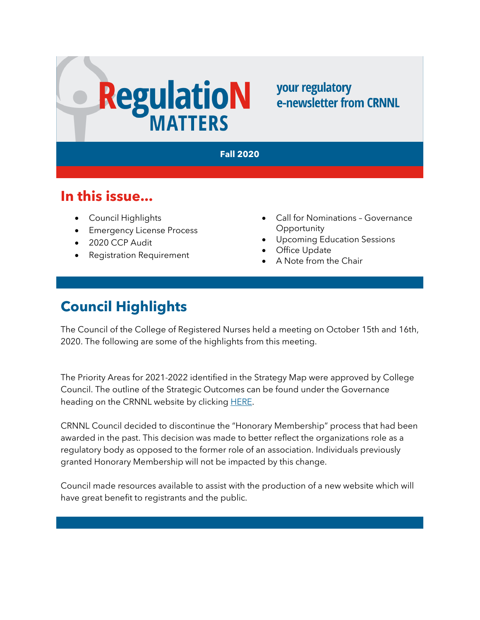# **RegulatioN**

your regulatory e-newsletter from CRNNL

#### **Fall 2020**

#### **In this issue...**

- Council Highlights
- Emergency License Process
- 2020 CCP Audit
- Registration Requirement
- Call for Nominations Governance **Opportunity**
- Upcoming Education Sessions
- **Office Update**
- A Note from the Chair

# **Council Highlights**

The Council of the College of Registered Nurses held a meeting on October 15th and 16th, 2020. The following are some of the highlights from this meeting.

The Priority Areas for 2021-2022 identified in the Strategy Map were approved by College Council. The outline of the Strategic Outcomes can be found under the Governance heading on the CRNNL website by clicking [HERE.](https://www.crnnl.ca/resources-publications)

CRNNL Council decided to discontinue the "Honorary Membership" process that had been awarded in the past. This decision was made to better reflect the organizations role as a regulatory body as opposed to the former role of an association. Individuals previously granted Honorary Membership will not be impacted by this change.

Council made resources available to assist with the production of a new website which will have great benefit to registrants and the public.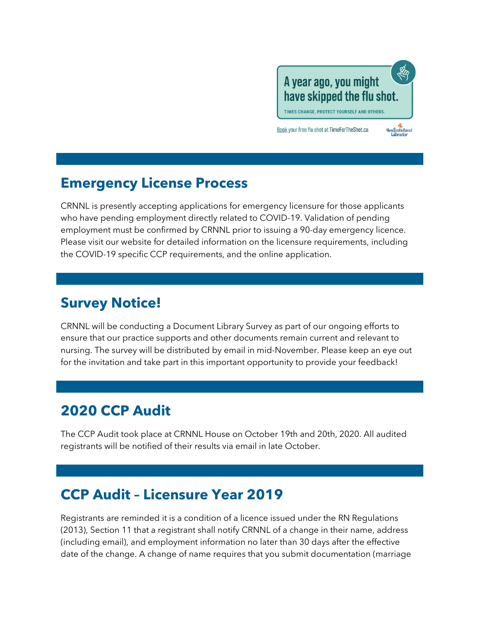

Newfoundland<br>Labrador

TIMES CHANGE. PROTECT YOURSELF AND OTHERS.

Book your free flu shot at TimeForTheShot.ca



CRNNL is presently accepting applications for emergency licensure for those applicants who have pending employment directly related to COVID-19. Validation of pending employment must be confirmed by CRNNL prior to issuing a 90-day emergency licence. Please visit our website for detailed information on the licensure requirements, including the COVID-19 specific CCP requirements, and the online application.

#### **Survey Notice!**

CRNNL will be conducting a Document Library Survey as part of our ongoing efforts to ensure that our practice supports and other documents remain current and relevant to nursing. The survey will be distributed by email in mid-November. Please keep an eye out for the invitation and take part in this important opportunity to provide your feedback!

# **2020 CCP Audit**

The CCP Audit took place at CRNNL House on October 19th and 20th, 2020. All audited registrants will be notified of their results via email in late October.

# **CCP Audit – Licensure Year 2019**

Registrants are reminded it is a condition of a licence issued under the RN Regulations (2013), Section 11 that a registrant shall notify CRNNL of a change in their name, address (including email), and employment information no later than 30 days after the effective date of the change. A change of name requires that you submit documentation (marriage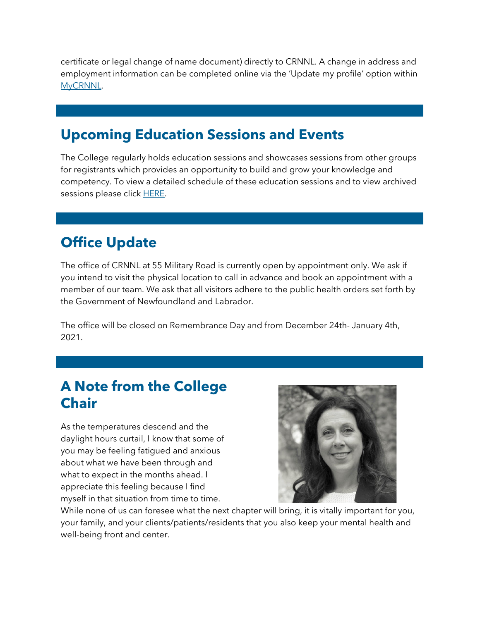certificate or legal change of name document) directly to CRNNL. A change in address and employment information can be completed online via the 'Update my profile' option within [MyCRNNL.](https://mycrnnl.ca/)

### **Upcoming Education Sessions and Events**

The College regularly holds education sessions and showcases sessions from other groups for registrants which provides an opportunity to build and grow your knowledge and competency. To view a detailed schedule of these education sessions and to view archived sessions please click [HERE.](https://www.crnnl.ca/events-calendar)

### **Office Update**

The office of CRNNL at 55 Military Road is currently open by appointment only. We ask if you intend to visit the physical location to call in advance and book an appointment with a member of our team. We ask that all visitors adhere to the public health orders set forth by the Government of Newfoundland and Labrador.

The office will be closed on Remembrance Day and from December 24th- January 4th, 2021.

#### **A Note from the College Chair**

As the temperatures descend and the daylight hours curtail, I know that some of you may be feeling fatigued and anxious about what we have been through and what to expect in the months ahead. I appreciate this feeling because I find myself in that situation from time to time.



While none of us can foresee what the next chapter will bring, it is vitally important for you, your family, and your clients/patients/residents that you also keep your mental health and well-being front and center.